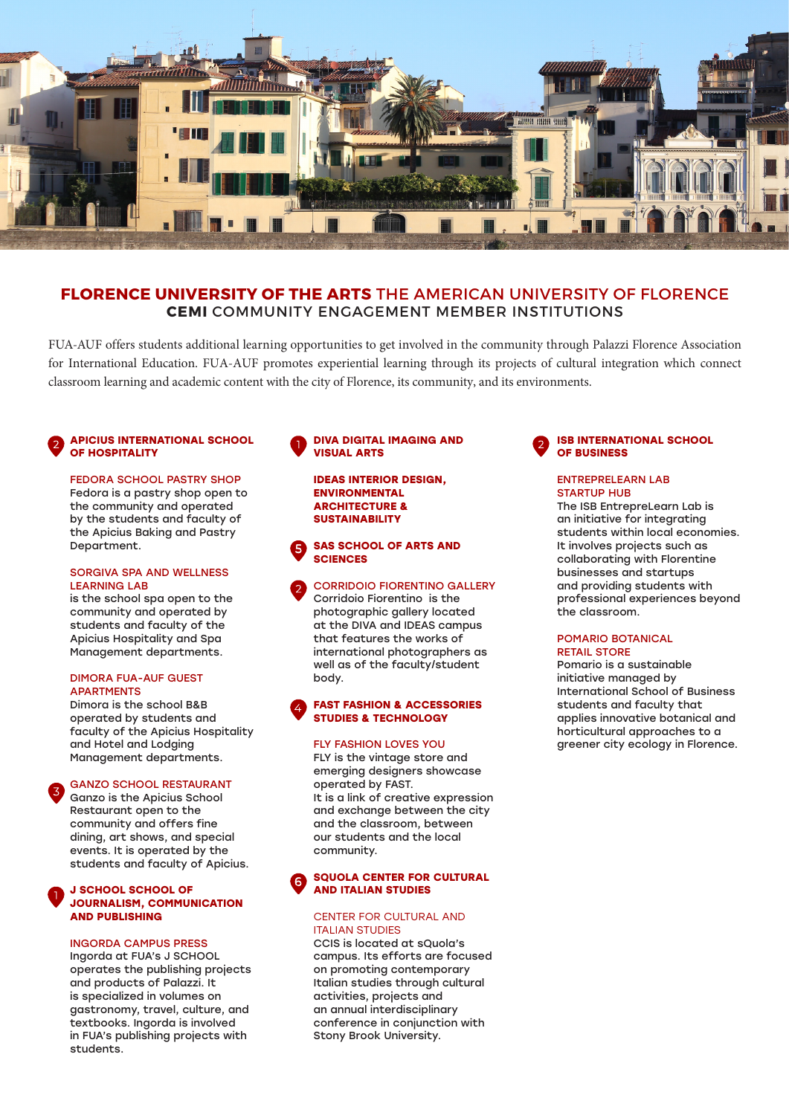

# **FLORENCE UNIVERSITY OF THE ARTS** THE AMERICAN UNIVERSITY OF FLORENCE **CEMI** COMMUNITY ENGAGEMENT MEMBER INSTITUTIONS

FUA-AUF offers students additional learning opportunities to get involved in the community through Palazzi Florence Association for International Education. FUA-AUF promotes experiential learning through its projects of cultural integration which connect classroom learning and academic content with the city of Florence, its community, and its environments.

## **APICIUS INTERNATIONAL SCHOOL OF HOSPITALITY**

### FEDORA SCHOOL PASTRY SHOP

Fedora is a pastry shop open to the community and operated by the students and faculty of the Apicius Baking and Pastry Department.

### SORGIVA SPA AND WELLNESS LEARNING LAB

is the school spa open to the community and operated by students and faculty of the Apicius Hospitality and Spa Management departments.

### DIMORA FUA-AUF GUEST **APARTMENTS**

Dimora is the school B&B operated by students and faculty of the Apicius Hospitality and Hotel and Lodging Management departments.

### GANZO SCHOOL RESTAURANT

Ganzo is the Apicius School Restaurant open to the community and offers fine dining, art shows, and special events. It is operated by the students and faculty of Apicius.

### **J SCHOOL SCHOOL OF JOURNALISM, COMMUNICATION AND PUBLISHING**

### INGORDA CAMPUS PRESS

Ingorda at FUA's J SCHOOL operates the publishing projects and products of Palazzi. It is specialized in volumes on gastronomy, travel, culture, and textbooks. Ingorda is involved in FUA's publishing projects with students.

### **DIVA DIGITAL IMAGING AND VISUAL ARTS**

**IDEAS INTERIOR DESIGN, ENVIRONMENTAL ARCHITECTURE & SUSTAINABILITY**

#### **SAS SCHOOL OF ARTS AND SCIENCES** 5

CORRIDOIO FIORENTINO GALLERY Corridoio Fiorentino is the photographic gallery located at the DIVA and IDEAS campus that features the works of international photographers as well as of the faculty/student body.

### **FAST FASHION & ACCESSORIES STUDIES & TECHNOLOGY**

## FLY FASHION LOVES YOU

FLY is the vintage store and emerging designers showcase operated by FAST. It is a link of creative expression and exchange between the city and the classroom, between our students and the local community.

#### **SQUOLA CENTER FOR CULTURAL AND ITALIAN STUDIES** 6

### CENTER FOR CULTURAL AND ITALIAN STUDIES

CCIS is located at sQuola's campus. Its efforts are focused on promoting contemporary Italian studies through cultural activities, projects and an annual interdisciplinary conference in conjunction with Stony Brook University.



## ENTREPRELEARN LAB STARTUP HUR

The ISB EntrepreLearn Lab is an initiative for integrating students within local economies. It involves projects such as collaborating with Florentine businesses and startups and providing students with professional experiences beyond the classroom.

### POMARIO BOTANICAL RETAIL STORE

Pomario is a sustainable initiative managed by International School of Business students and faculty that applies innovative botanical and horticultural approaches to a greener city ecology in Florence.